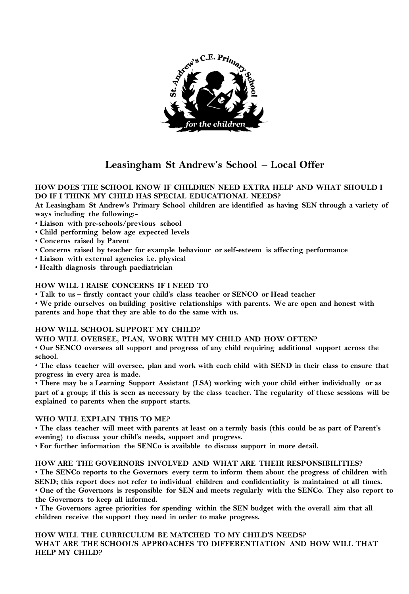

# **Leasingham St Andrew's School – Local Offer**

# **HOW DOES THE SCHOOL KNOW IF CHILDREN NEED EXTRA HELP AND WHAT SHOULD I DO IF I THINK MY CHILD HAS SPECIAL EDUCATIONAL NEEDS?**

**At Leasingham St Andrew's Primary School children are identified as having SEN through a variety of ways including the following:-**

- **Liaison with pre-schools/previous school**
- **Child performing below age expected levels**
- **Concerns raised by Parent**
- **Concerns raised by teacher for example behaviour or self-esteem is affecting performance**
- **Liaison with external agencies i.e. physical**
- **Health diagnosis through paediatrician**

# **HOW WILL I RAISE CONCERNS IF I NEED TO**

• **Talk to us – firstly contact your child's class teacher or SENCO or Head teacher** 

• **We pride ourselves on building positive relationships with parents. We are open and honest with parents and hope that they are able to do the same with us.** 

# **HOW WILL SCHOOL SUPPORT MY CHILD?**

**WHO WILL OVERSEE, PLAN, WORK WITH MY CHILD AND HOW OFTEN?** 

• **Our SENCO oversees all support and progress of any child requiring additional support across the school.** 

• **The class teacher will oversee, plan and work with each child with SEND in their class to ensure that progress in every area is made.** 

• **There may be a Learning Support Assistant (LSA) working with your child either individually or as part of a group; if this is seen as necessary by the class teacher. The regularity of these sessions will be explained to parents when the support starts.** 

# **WHO WILL EXPLAIN THIS TO ME?**

• **The class teacher will meet with parents at least on a termly basis (this could be as part of Parent's evening) to discuss your child's needs, support and progress.** 

• **For further information the SENCo is available to discuss support in more detail.** 

# **HOW ARE THE GOVERNORS INVOLVED AND WHAT ARE THEIR RESPONSIBILITIES?**

• **The SENCo reports to the Governors every term to inform them about the progress of children with SEND; this report does not refer to individual children and confidentiality is maintained at all times.**  • **One of the Governors is responsible for SEN and meets regularly with the SENCo. They also report to the Governors to keep all informed.** 

• **The Governors agree priorities for spending within the SEN budget with the overall aim that all children receive the support they need in order to make progress.** 

# **HOW WILL THE CURRICULUM BE MATCHED TO MY CHILD'S NEEDS? WHAT ARE THE SCHOOL'S APPROACHES TO DIFFERENTIATION AND HOW WILL THAT HELP MY CHILD?**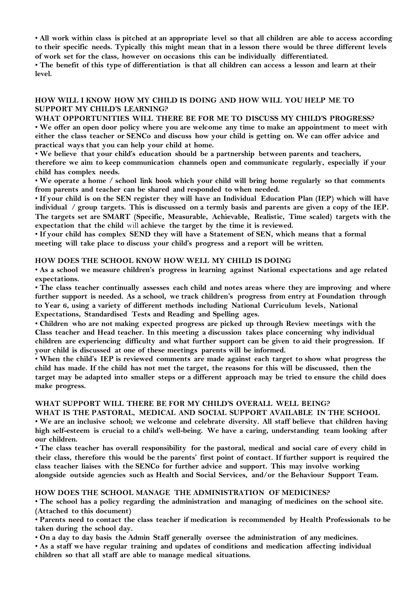• **All work within class is pitched at an appropriate level so that all children are able to access according to their specific needs. Typically this might mean that in a lesson there would be three different levels of work set for the class, however on occasions this can be individually differentiated.** 

• **The benefit of this type of differentiation is that all children can access a lesson and learn at their level.** 

# **HOW WILL I KNOW HOW MY CHILD IS DOING AND HOW WILL YOU HELP ME TO SUPPORT MY CHILD'S LEARNING?**

**WHAT OPPORTUNITIES WILL THERE BE FOR ME TO DISCUSS MY CHILD'S PROGRESS?**  • **We offer an open door policy where you are welcome any time to make an appointment to meet with either the class teacher or SENCo and discuss how your child is getting on. We can offer advice and practical ways that you can help your child at home.** 

• **We believe that your child's education should be a partnership between parents and teachers, therefore we aim to keep communication channels open and communicate regularly, especially if your child has complex needs.** 

• **We operate a home / school link book which your child will bring home regularly so that comments from parents and teacher can be shared and responded to when needed.** 

• **If your child is on the SEN register they will have an Individual Education Plan (IEP) which will have individual / group targets. This is discussed on a termly basis and parents are given a copy of the IEP. The targets set are SMART (Specific, Measurable, Achievable, Realistic, Time scaled) targets with the expectation that the child** will **achieve the target by the time it is reviewed.** 

• **If your child has complex SEND they will have a Statement of SEN, which means that a formal meeting will take place to discuss your child's progress and a report will be written.** 

# **HOW DOES THE SCHOOL KNOW HOW WELL MY CHILD IS DOING**

• **As a school we measure children's progress in learning against National expectations and age related expectations.** 

• **The class teacher continually assesses each child and notes areas where they are improving and where further support is needed. As a school, we track children's progress from entry at Foundation through to Year 6, using a variety of different methods including National Curriculum levels, National Expectations, Standardised Tests and Reading and Spelling ages.** 

• **Children who are not making expected progress are picked up through Review meetings with the Class teacher and Head teacher. In this meeting a discussion takes place concerning why individual children are experiencing difficulty and what further support can be given to aid their progression. If your child is discussed at one of these meetings parents will be informed.** 

• **When the child's IEP is reviewed comments are made against each target to show what progress the child has made. If the child has not met the target, the reasons for this will be discussed, then the target may be adapted into smaller steps or a different approach may be tried to ensure the child does make progress.** 

# **WHAT SUPPORT WILL THERE BE FOR MY CHILD'S OVERALL WELL BEING?**

**WHAT IS THE PASTORAL, MEDICAL AND SOCIAL SUPPORT AVAILABLE IN THE SCHOOL**  • **We are an inclusive school; we welcome and celebrate diversity. All staff believe that children having high self-esteem is crucial to a child's well-being. We have a caring, understanding team looking after our children.** 

• **The class teacher has overall responsibility for the pastoral, medical and social care of every child in their class, therefore this would be the parents' first point of contact. If further support is required the class teacher liaises with the SENCo for further advice and support. This may involve working alongside outside agencies such as Health and Social Services, and/or the Behaviour Support Team.** 

# **HOW DOES THE SCHOOL MANAGE THE ADMINISTRATION OF MEDICINES?**

• **The school has a policy regarding the administration and managing of medicines on the school site. (Attached to this document)** 

• **Parents need to contact the class teacher if medication is recommended by Health Professionals to be taken during the school day.** 

• **On a day to day basis the Admin Staff generally oversee the administration of any medicines.** 

• **As a staff we have regular training and updates of conditions and medication affecting individual children so that all staff are able to manage medical situations.**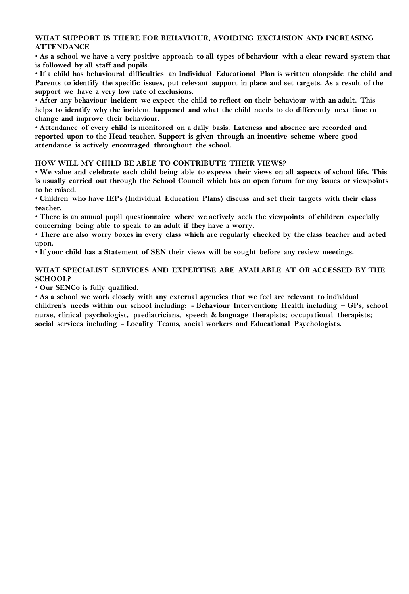#### **WHAT SUPPORT IS THERE FOR BEHAVIOUR, AVOIDING EXCLUSION AND INCREASING ATTENDANCE**

• **As a school we have a very positive approach to all types of behaviour with a clear reward system that is followed by all staff and pupils.** 

• **If a child has behavioural difficulties an Individual Educational Plan is written alongside the child and Parents to identify the specific issues, put relevant support in place and set targets. As a result of the support we have a very low rate of exclusions.** 

• **After any behaviour incident we expect the child to reflect on their behaviour with an adult. This helps to identify why the incident happened and what the child needs to do differently next time to change and improve their behaviour.** 

• **Attendance of every child is monitored on a daily basis. Lateness and absence are recorded and reported upon to the Head teacher. Support is given through an incentive scheme where good attendance is actively encouraged throughout the school.** 

#### **HOW WILL MY CHILD BE ABLE TO CONTRIBUTE THEIR VIEWS?**

• **We value and celebrate each child being able to express their views on all aspects of school life. This is usually carried out through the School Council which has an open forum for any issues or viewpoints to be raised.** 

• **Children who have IEPs (Individual Education Plans) discuss and set their targets with their class teacher.** 

• **There is an annual pupil questionnaire where we actively seek the viewpoints of children especially concerning being able to speak to an adult if they have a worry.** 

• **There are also worry boxes in every class which are regularly checked by the class teacher and acted upon.** 

• **If your child has a Statement of SEN their views will be sought before any review meetings.** 

# **WHAT SPECIALIST SERVICES AND EXPERTISE ARE AVAILABLE AT OR ACCESSED BY THE SCHOOL?**

• **Our SENCo is fully qualified.** 

• **As a school we work closely with any external agencies that we feel are relevant to individual children's needs within our school including: - Behaviour Intervention; Health including – GPs, school nurse, clinical psychologist, paediatricians, speech & language therapists; occupational therapists; social services including - Locality Teams, social workers and Educational Psychologists.**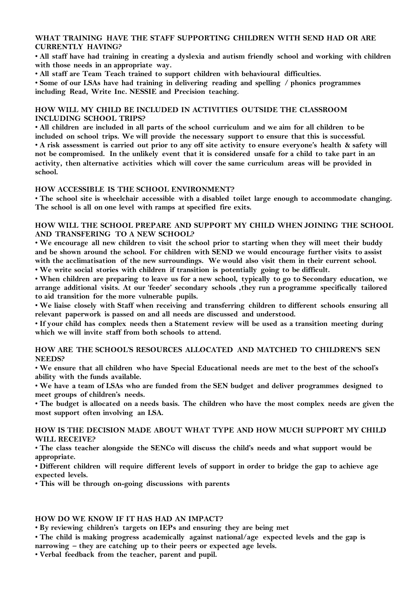#### **WHAT TRAINING HAVE THE STAFF SUPPORTING CHILDREN WITH SEND HAD OR ARE CURRENTLY HAVING?**

• **All staff have had training in creating a dyslexia and autism friendly school and working with children with those needs in an appropriate way.**

• **All staff are Team Teach trained to support children with behavioural difficulties.** 

• **Some of our LSAs have had training in delivering reading and spelling / phonics programmes including Read, Write Inc. NESSIE and Precision teaching.**

#### **HOW WILL MY CHILD BE INCLUDED IN ACTIVITIES OUTSIDE THE CLASSROOM INCLUDING SCHOOL TRIPS?**

• **All children are included in all parts of the school curriculum and we aim for all children to be included on school trips. We will provide the necessary support to ensure that this is successful.**  • **A risk assessment is carried out prior to any off site activity to ensure everyone's health & safety will not be compromised. In the unlikely event that it is considered unsafe for a child to take part in an activity, then alternative activities which will cover the same curriculum areas will be provided in school.** 

#### **HOW ACCESSIBLE IS THE SCHOOL ENVIRONMENT?**

• **The school site is wheelchair accessible with a disabled toilet large enough to accommodate changing. The school is all on one level with ramps at specified fire exits.** 

# **HOW WILL THE SCHOOL PREPARE AND SUPPORT MY CHILD WHEN JOINING THE SCHOOL AND TRANSFERING TO A NEW SCHOOL?**

• **We encourage all new children to visit the school prior to starting when they will meet their buddy and be shown around the school. For children with SEND we would encourage further visits to assist**  with the acclimatisation of the new surroundings. We would also visit them in their current school. • **We write social stories with children if transition is potentially going to be difficult.** 

• **When children are preparing to leave us for a new school, typically to go to Secondary education, we arrange additional visits. At our 'feeder' secondary schools ,they run a programme specifically tailored to aid transition for the more vulnerable pupils.** 

• **We liaise closely with Staff when receiving and transferring children to different schools ensuring all relevant paperwork is passed on and all needs are discussed and understood.**

• **If your child has complex needs then a Statement review will be used as a transition meeting during which we will invite staff from both schools to attend.** 

# **HOW ARE THE SCHOOL'S RESOURCES ALLOCATED AND MATCHED TO CHILDREN'S SEN NEEDS?**

• **We ensure that all children who have Special Educational needs are met to the best of the school's ability with the funds available.** 

• **We have a team of LSAs who are funded from the SEN budget and deliver programmes designed to meet groups of children's needs.** 

• **The budget is allocated on a needs basis. The children who have the most complex needs are given the most support often involving an LSA.** 

#### **HOW IS THE DECISION MADE ABOUT WHAT TYPE AND HOW MUCH SUPPORT MY CHILD WILL RECEIVE?**

• **The class teacher alongside the SENCo will discuss the child's needs and what support would be appropriate.** 

• **Different children will require different levels of support in order to bridge the gap to achieve age expected levels.** 

• **This will be through on-going discussions with parents** 

# **HOW DO WE KNOW IF IT HAS HAD AN IMPACT?**

• **By reviewing children's targets on IEPs and ensuring they are being met** 

• **The child is making progress academically against national/age expected levels and the gap is narrowing – they are catching up to their peers or expected age levels.** 

• **Verbal feedback from the teacher, parent and pupil.**